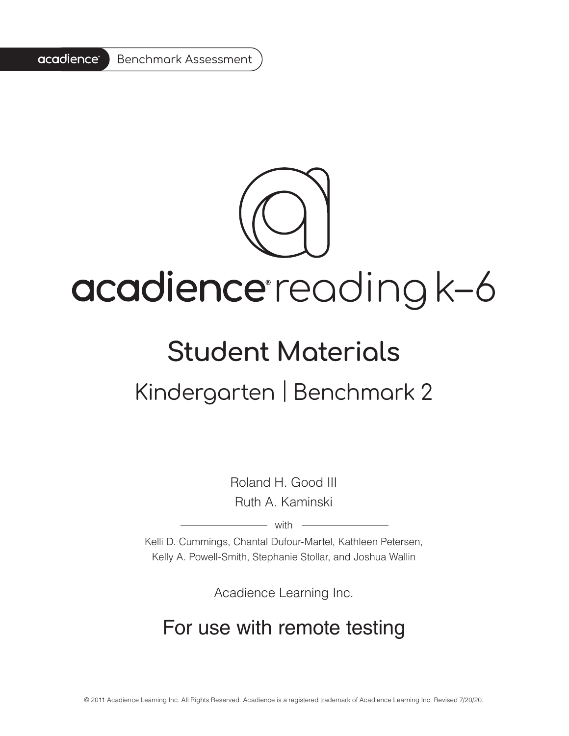#### acadience® Benchmark Assessment



# acadience reading k-6

## **Student Materials**

## Kindergarten | Benchmark 2

Roland H. Good III Ruth A. Kaminski

 $-$  with  $-$ 

Kelli D. Cummings, Chantal Dufour-Martel, Kathleen Petersen, Kelly A. Powell-Smith, Stephanie Stollar, and Joshua Wallin

Acadience Learning Inc.

#### For use with remote testing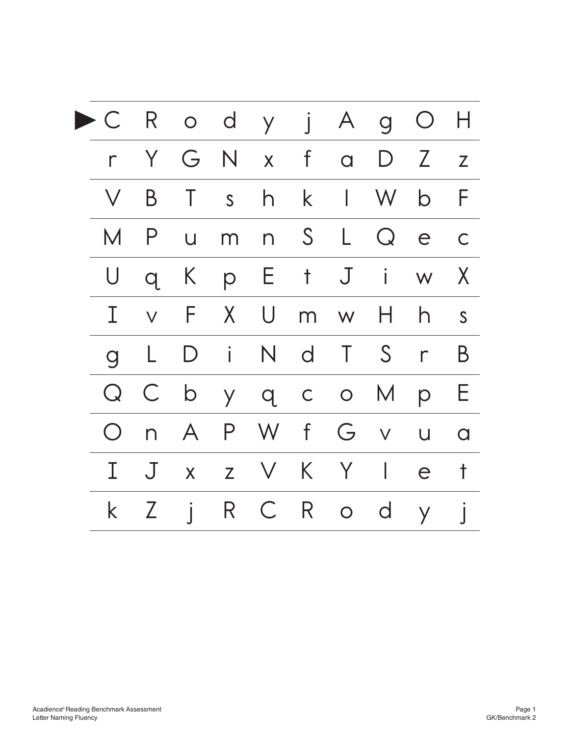| <u>C</u>       |                 |                |       | R o d y j A g O H |             |            |                                       |              |              |
|----------------|-----------------|----------------|-------|-------------------|-------------|------------|---------------------------------------|--------------|--------------|
| $\Gamma$       |                 |                |       | Y G N x f a D Z z |             |            |                                       |              |              |
| $\vee$         | B               | T              | S     | h                 | $\mathsf k$ |            | $\begin{bmatrix} 1 & W \end{bmatrix}$ | $\mathsf{b}$ | F            |
| M              | $\overline{P}$  | $\cup$         | m     |                   |             |            | n S L Q e                             |              | $\mathsf{C}$ |
| U              | $\overline{q}$  | K              | p     |                   |             |            | E t J i w                             |              | X            |
| Τ              | $\vee$          |                | F X   | U                 |             | $m \leq M$ |                                       | h            | S            |
| $\overline{Q}$ | L               |                | $D$ i |                   |             |            | N d T S r                             |              | B            |
| Q              | $\overline{C}$  |                |       | b y q c o         |             |            | M                                     | p            | Е            |
| $\bigcirc$     |                 | n A            |       | P W f             |             |            | G v                                   | $\bigcup$    | $\Omega$     |
|                | J               | $\overline{X}$ |       | $Z \quad V$       |             | K Y        | $\mathbb{R}$                          | e            | $\mathsf{t}$ |
| $\mathsf k$    | $Z_{\parallel}$ | $\int$         |       | R C               |             | R o d      |                                       | $\mathsf{y}$ |              |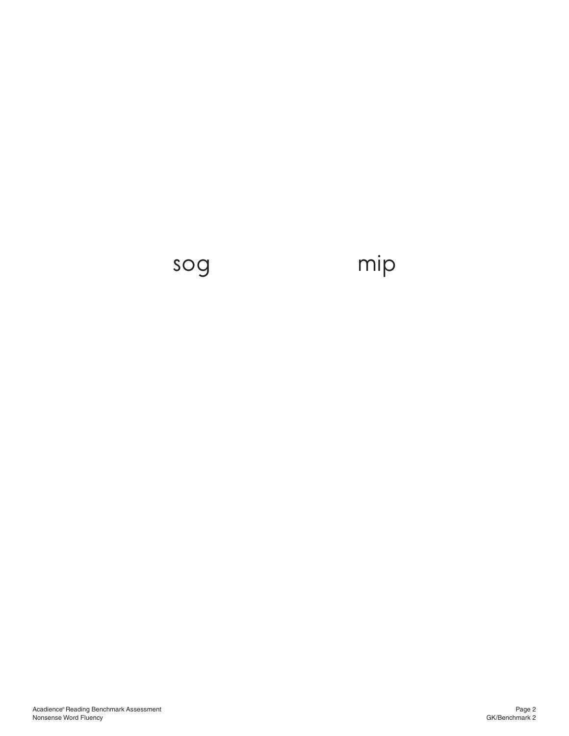## sog mip